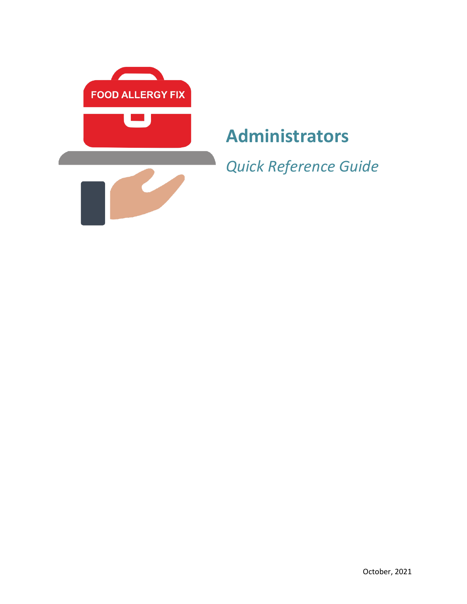

# **Administrators**

*Quick Reference Guide*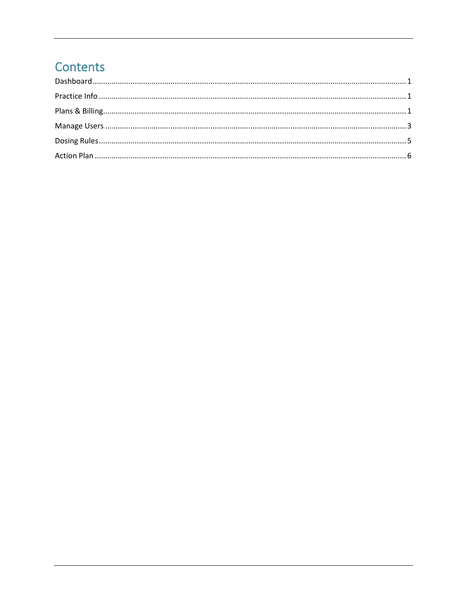## Contents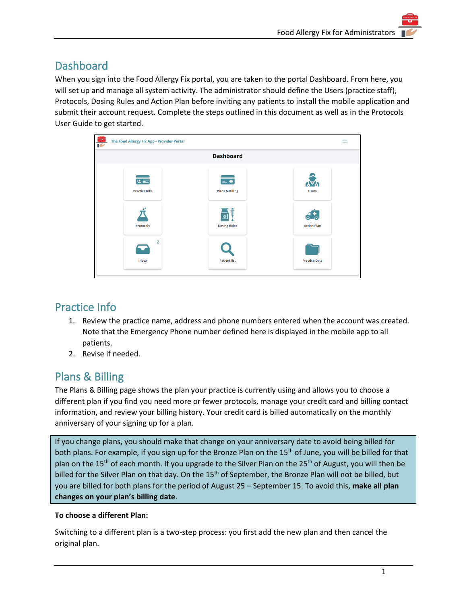## <span id="page-2-0"></span>**Dashboard**

When you sign into the Food Allergy Fix portal, you are taken to the portal Dashboard. From here, you will set up and manage all system activity. The administrator should define the Users (practice staff), Protocols, Dosing Rules and Action Plan before inviting any patients to install the mobile application and submit their account request. Complete the steps outlined in this document as well as in the Protocols User Guide to get started.

| €<br>The Food Allergy Fix App - Provider Portal |                                                        | ≡                                                          |
|-------------------------------------------------|--------------------------------------------------------|------------------------------------------------------------|
|                                                 | <b>Dashboard</b>                                       |                                                            |
| ∉三<br><b>Practice Info</b><br><b>Protocols</b>  | æ<br><b>Plans &amp; Billing</b><br><b>Dosing Rules</b> | <b>AYA</b><br><b>Users</b><br>⋒<br>6<br><b>Action Plan</b> |
| 2<br>Inbox                                      | <b>Patient list</b>                                    | <b>Practice Data</b>                                       |

## <span id="page-2-1"></span>Practice Info

- 1. Review the practice name, address and phone numbers entered when the account was created. Note that the Emergency Phone number defined here is displayed in the mobile app to all patients.
- 2. Revise if needed.

## <span id="page-2-2"></span>Plans & Billing

The Plans & Billing page shows the plan your practice is currently using and allows you to choose a different plan if you find you need more or fewer protocols, manage your credit card and billing contact information, and review your billing history. Your credit card is billed automatically on the monthly anniversary of your signing up for a plan.

If you change plans, you should make that change on your anniversary date to avoid being billed for both plans. For example, if you sign up for the Bronze Plan on the 15<sup>th</sup> of June, you will be billed for that plan on the 15<sup>th</sup> of each month. If you upgrade to the Silver Plan on the 25<sup>th</sup> of August, you will then be billed for the Silver Plan on that day. On the 15<sup>th</sup> of September, the Bronze Plan will not be billed, but you are billed for both plans for the period of August 25 – September 15. To avoid this, **make all plan changes on your plan's billing date**.

#### **To choose a different Plan:**

Switching to a different plan is a two-step process: you first add the new plan and then cancel the original plan.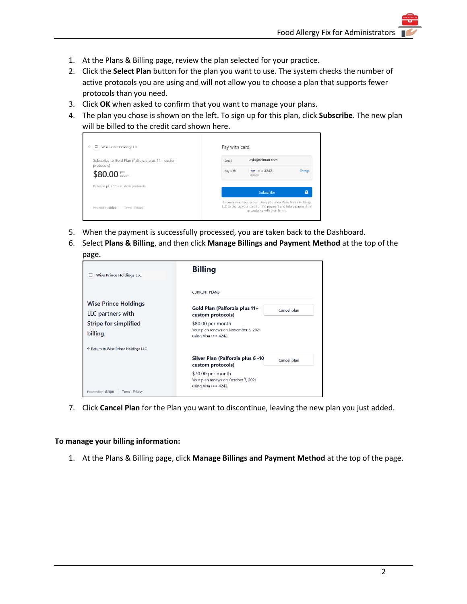- 1. At the Plans & Billing page, review the plan selected for your practice.
- 2. Click the **Select Plan** button for the plan you want to use. The system checks the number of active protocols you are using and will not allow you to choose a plan that supports fewer protocols than you need.
- 3. Click **OK** when asked to confirm that you want to manage your plans.
- 4. The plan you chose is shown on the left. To sign up for this plan, click **Subscribe**. The new plan will be billed to the credit card shown here.



- 5. When the payment is successfully processed, you are taken back to the Dashboard.
- 6. Select **Plans & Billing**, and then click **Manage Billings and Payment Method** at the top of the page.

| జ<br><b>Wise Prince Holdings LLC</b>             | <b>Billing</b>                                                                     |             |  |  |  |
|--------------------------------------------------|------------------------------------------------------------------------------------|-------------|--|--|--|
|                                                  | <b>CURRENT PLANS</b>                                                               |             |  |  |  |
| <b>Wise Prince Holdings</b><br>LLC partners with | Gold Plan (Palforzia plus 11+<br>custom protocols)                                 | Cancel plan |  |  |  |
| <b>Stripe for simplified</b><br>billing.         | \$80.00 per month<br>Your plan renews on November 5, 2021<br>using Visa •••• 4242. |             |  |  |  |
| ← Return to Wise Prince Holdings LLC             |                                                                                    |             |  |  |  |
|                                                  | Silver Plan (Palforzia plus 6 -10<br>custom protocols)                             | Cancel plan |  |  |  |
|                                                  | \$70.00 per month<br>Your plan renews on October 7, 2021<br>using Visa •••• 4242.  |             |  |  |  |
| Powered by <b>stripe</b><br>Terms Privacy        |                                                                                    |             |  |  |  |

7. Click **Cancel Plan** for the Plan you want to discontinue, leaving the new plan you just added.

#### **To manage your billing information:**

1. At the Plans & Billing page, click **Manage Billings and Payment Method** at the top of the page.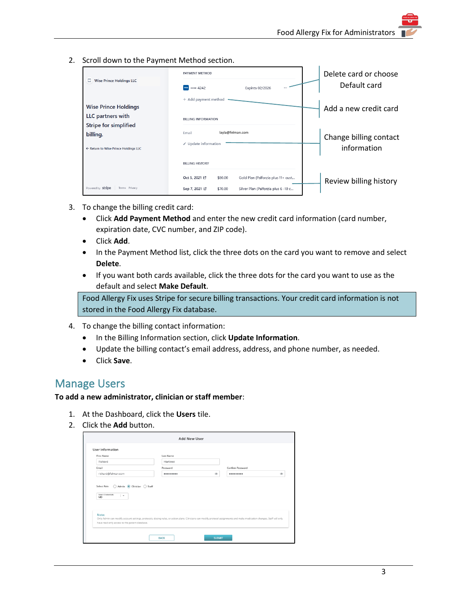2. Scroll down to the Payment Method section.

| c<br><b>Wise Prince Holdings LLC</b>                                             | PAYMENT METHOD<br>VISA  4242<br>Expires 02/2026                   | Delete card or choose<br>Default card |
|----------------------------------------------------------------------------------|-------------------------------------------------------------------|---------------------------------------|
| <b>Wise Prince Holdings</b><br>LLC partners with                                 | + Add payment method<br><b>BILLING INFORMATION</b>                | Add a new credit card                 |
| <b>Stripe for simplified</b><br>billing.<br>← Return to Wise Prince Holdings LLC | layla@felman.com<br>Email<br>✔ Update information                 | Change billing contact<br>information |
|                                                                                  | <b>BILLING HISTORY</b>                                            |                                       |
|                                                                                  | Gold Plan (Palforzia plus 11+ cust<br>Oct 5, 2021 L'<br>\$80.00   | Review billing history                |
| Powered by <b>stripe</b><br>Terms Privacy                                        | Silver Plan (Palforzia plus 6 -10 c<br>Sep 7, 2021 [2]<br>\$70.00 |                                       |

- 3. To change the billing credit card:
	- Click **Add Payment Method** and enter the new credit card information (card number, expiration date, CVC number, and ZIP code).
	- Click **Add**.
	- In the Payment Method list, click the three dots on the card you want to remove and select **Delete**.
	- If you want both cards available, click the three dots for the card you want to use as the default and select **Make Default**.

Food Allergy Fix uses Stripe for secure billing transactions. Your credit card information is not stored in the Food Allergy Fix database.

- 4. To change the billing contact information:
	- In the Billing Information section, click **Update Information**.
	- Update the billing contact's email address, address, and phone number, as needed.
	- Click **Save**.

### <span id="page-4-0"></span>Manage Users

#### **To add a new administrator, clinician or staff member**:

- 1. At the Dashboard, click the **Users** tile.
- 2. Click the **Add** button.

| <b>First Name</b><br>Richard                                                            | Last Name<br>Martinez |            |                  |            |
|-----------------------------------------------------------------------------------------|-----------------------|------------|------------------|------------|
| Email                                                                                   | Password              |            | Confirm Password |            |
| richard@felman.com                                                                      |                       | $^{\circ}$ |                  | $^{\circ}$ |
| Admin (Clinician C) Staff<br>Select Role<br>∩<br>Select Credentials<br>ı –<br><b>MD</b> |                       |            |                  |            |
|                                                                                         |                       |            |                  |            |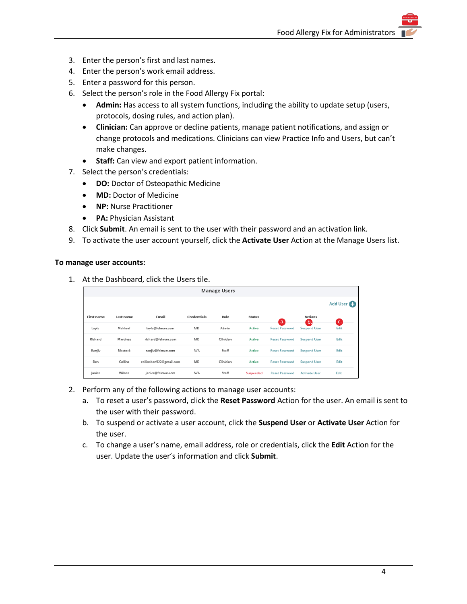- 3. Enter the person's first and last names.
- 4. Enter the person's work email address.
- 5. Enter a password for this person.
- 6. Select the person's role in the Food Allergy Fix portal:
	- **Admin:** Has access to all system functions, including the ability to update setup (users, protocols, dosing rules, and action plan).
	- **Clinician:** Can approve or decline patients, manage patient notifications, and assign or change protocols and medications. Clinicians can view Practice Info and Users, but can't make changes.
	- **Staff:** Can view and export patient information.
- 7. Select the person's credentials:
	- **DO:** Doctor of Osteopathic Medicine
	- **MD:** Doctor of Medicine
	- **NP:** Nurse Practitioner
	- **PA:** Physician Assistant
- 8. Click **Submit**. An email is sent to the user with their password and an activation link.
- 9. To activate the user account yourself, click the **Activate User** Action at the Manage Users list.

#### **To manage user accounts:**

1. At the Dashboard, click the Users tile.

| <b>Manage Users</b> |           |                         |                    |           |               |                       |                       |                       |
|---------------------|-----------|-------------------------|--------------------|-----------|---------------|-----------------------|-----------------------|-----------------------|
|                     |           |                         |                    |           |               |                       |                       | Add User <sup>1</sup> |
| <b>First name</b>   | Last name | Email                   | <b>Credentials</b> | Role      | <b>Status</b> | a.                    | <b>Actions</b><br>(b. | ic.                   |
| Layla               | Mahloof   | layla@felman.com        | MD                 | Admin     | <b>Active</b> | <b>Reset Password</b> | <b>Suspend User</b>   | Edit                  |
| Richard             | Martinez  | richard@felman.com      | MD                 | Clinician | Active        | <b>Reset Password</b> | <b>Suspend User</b>   | Edit                  |
| Ranjiv              | Mastock   | ranjiv@felman.com       | N/A                | Staff     | Active        | <b>Reset Password</b> | <b>Suspend User</b>   | Edit                  |
| Ben                 | Collins   | collinsben922@gmail.com | MD                 | Clinician | <b>Active</b> | <b>Reset Password</b> | <b>Suspend User</b>   | Edit                  |
| Janice              | Wilson    | janice@felman.com       | N/A                | Staff     | Suspended     | <b>Reset Password</b> | <b>Activate User</b>  | Edit                  |

- 2. Perform any of the following actions to manage user accounts:
	- a. To reset a user's password, click the **Reset Password** Action for the user. An email is sent to the user with their password.
	- b. To suspend or activate a user account, click the **Suspend User** or **Activate User** Action for the user.
	- c. To change a user's name, email address, role or credentials, click the **Edit** Action for the user. Update the user's information and click **Submit**.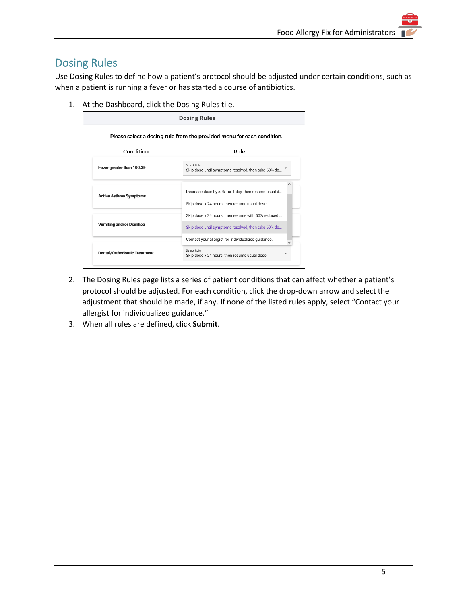## <span id="page-6-0"></span>Dosing Rules

Use Dosing Rules to define how a patient's protocol should be adjusted under certain conditions, such as when a patient is running a fever or has started a course of antibiotics.

1. At the Dashboard, click the Dosing Rules tile.

| Condition                       | Rule                                                                                                      |  |  |
|---------------------------------|-----------------------------------------------------------------------------------------------------------|--|--|
| Fever greater than 100.3F       | Select Rule<br>Skip dose until symptoms resolved, then take 50% do                                        |  |  |
| <b>Active Asthma Symptoms</b>   | Decrease dose by 50% for 1 day, then resume usual d<br>Skip dose x 24 hours, then resume usual dose.      |  |  |
| <b>Vomiting and/or Diarrhea</b> | Skip dose x 24 hours, then resume with 50% reduced<br>Skip dose until symptoms resolved, then take 50% do |  |  |
|                                 | Contact your allergist for individualized guidance.                                                       |  |  |

- 2. The Dosing Rules page lists a series of patient conditions that can affect whether a patient's protocol should be adjusted. For each condition, click the drop-down arrow and select the adjustment that should be made, if any. If none of the listed rules apply, select "Contact your allergist for individualized guidance."
- 3. When all rules are defined, click **Submit**.